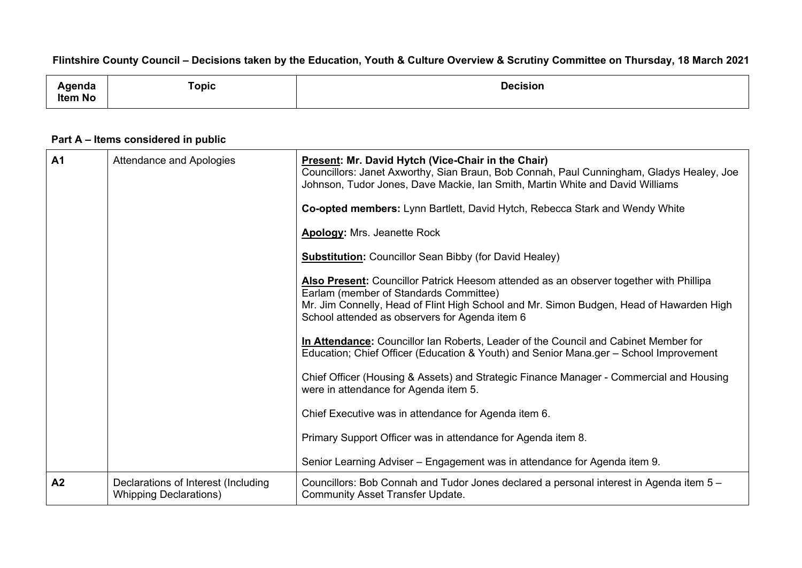## Flintshire County Council - Decisions taken by the Education, Youth & Culture Overview & Scrutiny Committee on Thursday, 18 March 2021

| -----<br>пис<br>.<br>. .<br>. .<br>Item No | opic | Decision |
|--------------------------------------------|------|----------|
|                                            |      |          |

## **Part A – Items considered in public**

| A <sub>1</sub> | Attendance and Apologies                                             | Present: Mr. David Hytch (Vice-Chair in the Chair)<br>Councillors: Janet Axworthy, Sian Braun, Bob Connah, Paul Cunningham, Gladys Healey, Joe<br>Johnson, Tudor Jones, Dave Mackie, Ian Smith, Martin White and David Williams |
|----------------|----------------------------------------------------------------------|---------------------------------------------------------------------------------------------------------------------------------------------------------------------------------------------------------------------------------|
|                |                                                                      | Co-opted members: Lynn Bartlett, David Hytch, Rebecca Stark and Wendy White                                                                                                                                                     |
|                |                                                                      | <b>Apology: Mrs. Jeanette Rock</b>                                                                                                                                                                                              |
|                |                                                                      | <b>Substitution:</b> Councillor Sean Bibby (for David Healey)                                                                                                                                                                   |
|                |                                                                      | Also Present: Councillor Patrick Heesom attended as an observer together with Phillipa<br>Earlam (member of Standards Committee)<br>Mr. Jim Connelly, Head of Flint High School and Mr. Simon Budgen, Head of Hawarden High     |
|                |                                                                      | School attended as observers for Agenda item 6                                                                                                                                                                                  |
|                |                                                                      | In Attendance: Councillor Ian Roberts, Leader of the Council and Cabinet Member for<br>Education; Chief Officer (Education & Youth) and Senior Mana.ger - School Improvement                                                    |
|                |                                                                      | Chief Officer (Housing & Assets) and Strategic Finance Manager - Commercial and Housing<br>were in attendance for Agenda item 5.                                                                                                |
|                |                                                                      | Chief Executive was in attendance for Agenda item 6.                                                                                                                                                                            |
|                |                                                                      | Primary Support Officer was in attendance for Agenda item 8.                                                                                                                                                                    |
|                |                                                                      | Senior Learning Adviser – Engagement was in attendance for Agenda item 9.                                                                                                                                                       |
| A2             | Declarations of Interest (Including<br><b>Whipping Declarations)</b> | Councillors: Bob Connah and Tudor Jones declared a personal interest in Agenda item 5 -<br><b>Community Asset Transfer Update.</b>                                                                                              |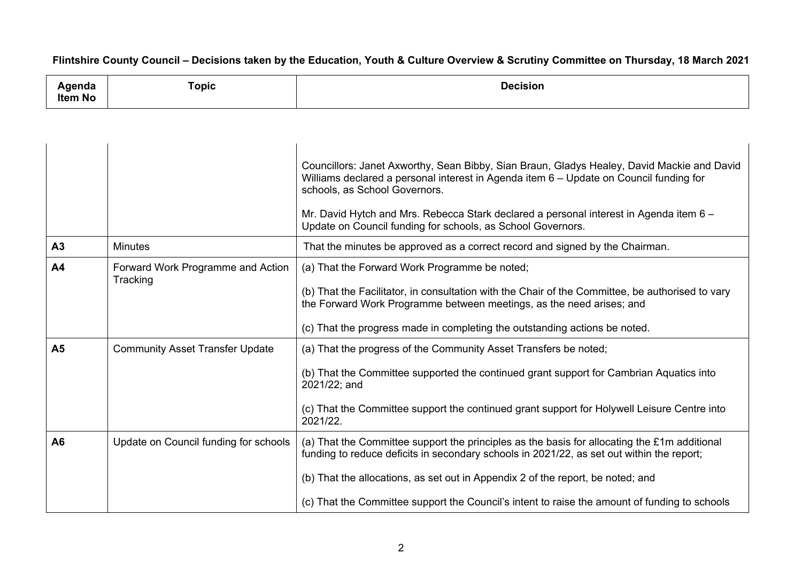## Flintshire County Council - Decisions taken by the Education, Youth & Culture Overview & Scrutiny Committee on Thursday, 18 March 2021

| ------         | Topic                                                                                                                                                                                                                          | <b>Decision</b> |
|----------------|--------------------------------------------------------------------------------------------------------------------------------------------------------------------------------------------------------------------------------|-----------------|
| ™ua ≀          | and the contract of the contract of the contract of the contract of the contract of the contract of the contract of the contract of the contract of the contract of the contract of the contract of the contract of the contra |                 |
| <b>Item No</b> |                                                                                                                                                                                                                                |                 |

|                |                                               | Councillors: Janet Axworthy, Sean Bibby, Sian Braun, Gladys Healey, David Mackie and David<br>Williams declared a personal interest in Agenda item 6 – Update on Council funding for<br>schools, as School Governors.<br>Mr. David Hytch and Mrs. Rebecca Stark declared a personal interest in Agenda item 6 -<br>Update on Council funding for schools, as School Governors. |
|----------------|-----------------------------------------------|--------------------------------------------------------------------------------------------------------------------------------------------------------------------------------------------------------------------------------------------------------------------------------------------------------------------------------------------------------------------------------|
| A3             | <b>Minutes</b>                                | That the minutes be approved as a correct record and signed by the Chairman.                                                                                                                                                                                                                                                                                                   |
| A <sub>4</sub> | Forward Work Programme and Action<br>Tracking | (a) That the Forward Work Programme be noted;<br>(b) That the Facilitator, in consultation with the Chair of the Committee, be authorised to vary<br>the Forward Work Programme between meetings, as the need arises; and<br>(c) That the progress made in completing the outstanding actions be noted.                                                                        |
| A <sub>5</sub> | <b>Community Asset Transfer Update</b>        | (a) That the progress of the Community Asset Transfers be noted;<br>(b) That the Committee supported the continued grant support for Cambrian Aquatics into<br>2021/22; and<br>(c) That the Committee support the continued grant support for Holywell Leisure Centre into<br>2021/22.                                                                                         |
| A6             | Update on Council funding for schools         | (a) That the Committee support the principles as the basis for allocating the £1m additional<br>funding to reduce deficits in secondary schools in 2021/22, as set out within the report;<br>(b) That the allocations, as set out in Appendix 2 of the report, be noted; and<br>(c) That the Committee support the Council's intent to raise the amount of funding to schools  |